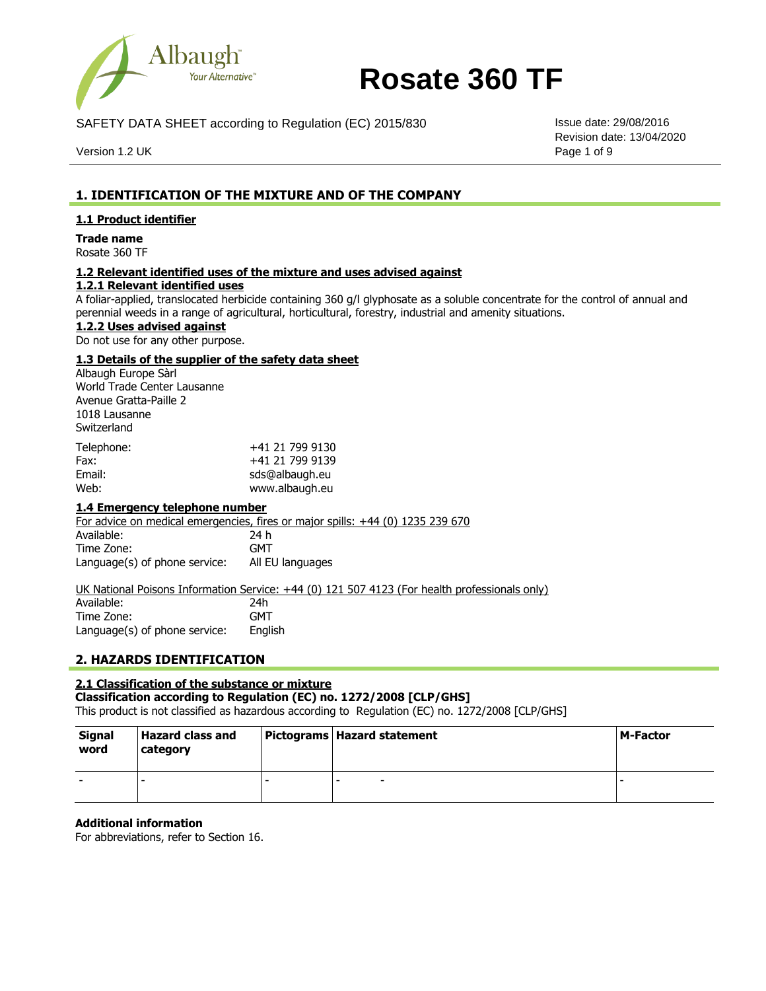

SAFETY DATA SHEET according to Regulation (EC) 2015/830 Issue date: 29/08/2016

Version 1.2 UK Page 1 of 9

Revision date: 13/04/2020

# **1. IDENTIFICATION OF THE MIXTURE AND OF THE COMPANY**

## **1.1 Product identifier**

**Trade name** Rosate 360 TF

# **1.2 Relevant identified uses of the mixture and uses advised against**

# **1.2.1 Relevant identified uses**

A foliar-applied, translocated herbicide containing 360 g/l glyphosate as a soluble concentrate for the control of annual and perennial weeds in a range of agricultural, horticultural, forestry, industrial and amenity situations.

**1.2.2 Uses advised against**

Do not use for any other purpose.

## **1.3 Details of the supplier of the safety data sheet**

Albaugh Europe Sàrl World Trade Center Lausanne Avenue Gratta-Paille 2 1018 Lausanne **Switzerland** 

| Telephone: | +41 21 799 9130 |
|------------|-----------------|
| Fax:       | +41 21 799 9139 |
| Email:     | sds@albaugh.eu  |
| Web:       | www.albaugh.eu  |

#### **1.4 Emergency telephone number**

For advice on medical emergencies, fires or major spills: +44 (0) 1235 239 670 Available: Time Zone: Language(s) of phone service: 24 h **GMT** All EU languages

UK National Poisons Information Service: +44 (0) 121 507 4123 (For health professionals only)

| Available:                    | 24h     |
|-------------------------------|---------|
| Time Zone:                    | GMT     |
| Language(s) of phone service: | English |

# **2. HAZARDS IDENTIFICATION**

## **2.1 Classification of the substance or mixture**

**Classification according to Regulation (EC) no. 1272/2008 [CLP/GHS]**

This product is not classified as hazardous according to Regulation (EC) no. 1272/2008 [CLP/GHS]

| <b>Signal</b><br>word | <b>Hazard class and</b><br>category |   | Pictograms   Hazard statement | l M-Factor |
|-----------------------|-------------------------------------|---|-------------------------------|------------|
|                       |                                     | - |                               |            |

#### **Additional information**

For abbreviations, refer to Section 16.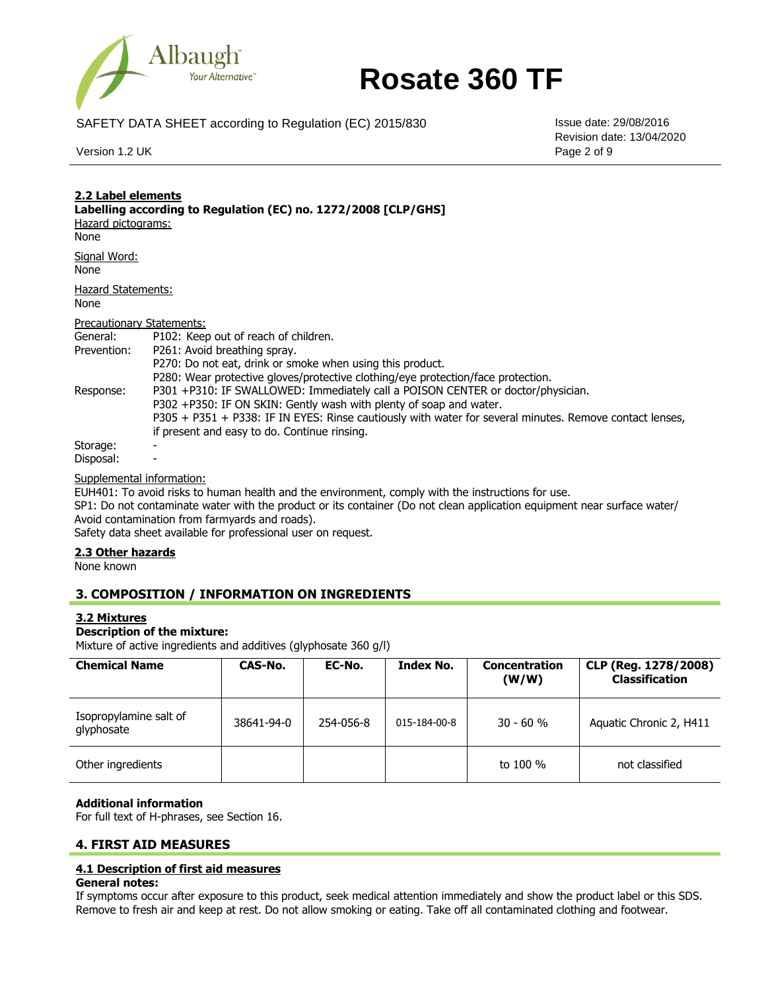

SAFETY DATA SHEET according to Regulation (EC) 2015/830 Issue date: 29/08/2016

Version 1.2 UK Page 2 of 9

Revision date: 13/04/2020

| 2.2 Label elements<br>Labelling according to Regulation (EC) no. 1272/2008 [CLP/GHS]<br>Hazard pictograms:<br>None |                                                                                                                                                                                                                                                                                                                                                                                                                                                                   |  |  |
|--------------------------------------------------------------------------------------------------------------------|-------------------------------------------------------------------------------------------------------------------------------------------------------------------------------------------------------------------------------------------------------------------------------------------------------------------------------------------------------------------------------------------------------------------------------------------------------------------|--|--|
| Signal Word:<br>None                                                                                               |                                                                                                                                                                                                                                                                                                                                                                                                                                                                   |  |  |
| Hazard Statements:<br>None                                                                                         |                                                                                                                                                                                                                                                                                                                                                                                                                                                                   |  |  |
| Precautionary Statements:                                                                                          |                                                                                                                                                                                                                                                                                                                                                                                                                                                                   |  |  |
| General:                                                                                                           | P102: Keep out of reach of children.                                                                                                                                                                                                                                                                                                                                                                                                                              |  |  |
| Prevention:                                                                                                        | P261: Avoid breathing spray.                                                                                                                                                                                                                                                                                                                                                                                                                                      |  |  |
| Response:                                                                                                          | P270: Do not eat, drink or smoke when using this product.<br>P280: Wear protective gloves/protective clothing/eye protection/face protection.<br>P301 +P310: IF SWALLOWED: Immediately call a POISON CENTER or doctor/physician.<br>P302 +P350: IF ON SKIN: Gently wash with plenty of soap and water.<br>P305 + P351 + P338: IF IN EYES: Rinse cautiously with water for several minutes. Remove contact lenses,<br>if present and easy to do. Continue rinsing. |  |  |
| Storage:                                                                                                           |                                                                                                                                                                                                                                                                                                                                                                                                                                                                   |  |  |
| Disposal:                                                                                                          |                                                                                                                                                                                                                                                                                                                                                                                                                                                                   |  |  |

Supplemental information:

EUH401: To avoid risks to human health and the environment, comply with the instructions for use.

SP1: Do not contaminate water with the product or its container (Do not clean application equipment near surface water/ Avoid contamination from farmyards and roads).

Safety data sheet available for professional user on request.

## **2.3 Other hazards**

None known

# **3. COMPOSITION / INFORMATION ON INGREDIENTS**

# **3.2 Mixtures**

## **Description of the mixture:**

Mixture of active ingredients and additives (glyphosate 360 g/l)

| <b>Chemical Name</b>                 | CAS-No.    | EC-No.    | <b>Index No.</b> | <b>Concentration</b><br>(W/W) | CLP (Reg. 1278/2008)<br><b>Classification</b> |
|--------------------------------------|------------|-----------|------------------|-------------------------------|-----------------------------------------------|
| Isopropylamine salt of<br>glyphosate | 38641-94-0 | 254-056-8 | 015-184-00-8     | $30 - 60%$                    | Aquatic Chronic 2, H411                       |
| Other ingredients                    |            |           |                  | to 100 %                      | not classified                                |

#### **Additional information**

For full text of H-phrases, see Section 16.

#### **4. FIRST AID MEASURES**

#### **4.1 Description of first aid measures**

#### **General notes:**

If symptoms occur after exposure to this product, seek medical attention immediately and show the product label or this SDS. Remove to fresh air and keep at rest. Do not allow smoking or eating. Take off all contaminated clothing and footwear.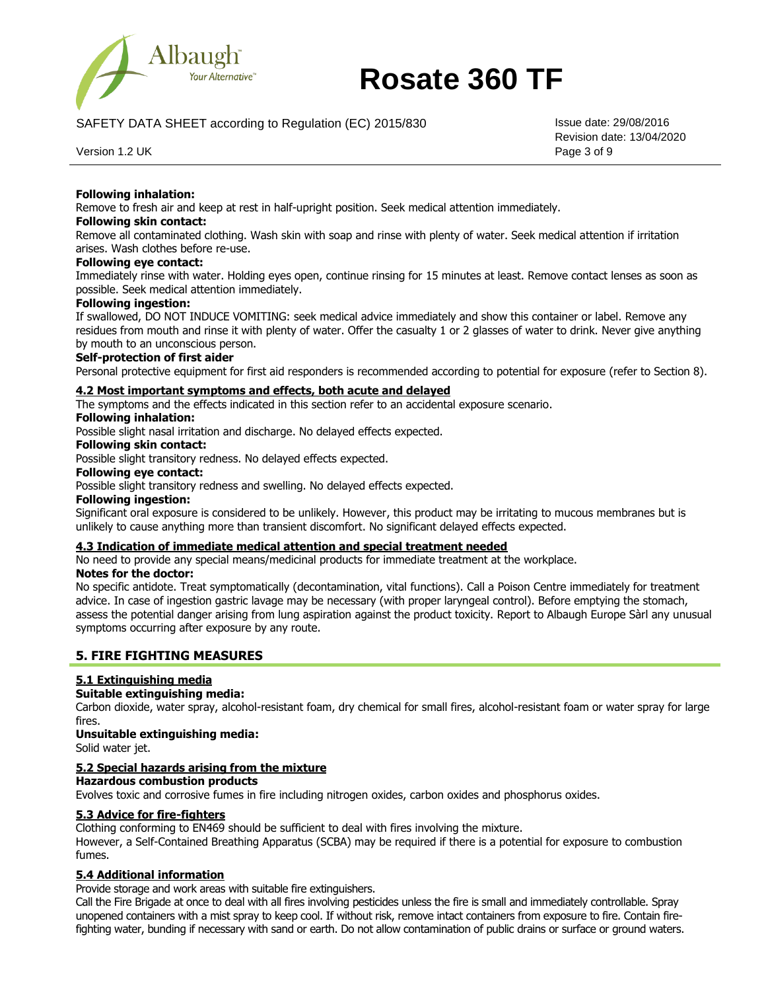

SAFETY DATA SHEET according to Regulation (EC) 2015/830 **ISSUE date:** 29/08/2016

Revision date: 13/04/2020

Version 1.2 UK Page 3 of 9

## **Following inhalation:**

Remove to fresh air and keep at rest in half-upright position. Seek medical attention immediately.

#### **Following skin contact:**

Remove all contaminated clothing. Wash skin with soap and rinse with plenty of water. Seek medical attention if irritation arises. Wash clothes before re-use.

## **Following eye contact:**

Immediately rinse with water. Holding eyes open, continue rinsing for 15 minutes at least. Remove contact lenses as soon as possible. Seek medical attention immediately.

## **Following ingestion:**

If swallowed, DO NOT INDUCE VOMITING: seek medical advice immediately and show this container or label. Remove any residues from mouth and rinse it with plenty of water. Offer the casualty 1 or 2 glasses of water to drink. Never give anything by mouth to an unconscious person.

#### **Self-protection of first aider**

Personal protective equipment for first aid responders is recommended according to potential for exposure (refer to Section 8).

#### **4.2 Most important symptoms and effects, both acute and delayed**

The symptoms and the effects indicated in this section refer to an accidental exposure scenario.

## **Following inhalation:**

Possible slight nasal irritation and discharge. No delayed effects expected.

## **Following skin contact:**

Possible slight transitory redness. No delayed effects expected.

#### **Following eye contact:**

Possible slight transitory redness and swelling. No delayed effects expected.

#### **Following ingestion:**

Significant oral exposure is considered to be unlikely. However, this product may be irritating to mucous membranes but is unlikely to cause anything more than transient discomfort. No significant delayed effects expected.

#### **4.3 Indication of immediate medical attention and special treatment needed**

No need to provide any special means/medicinal products for immediate treatment at the workplace.

#### **Notes for the doctor:**

No specific antidote. Treat symptomatically (decontamination, vital functions). Call a Poison Centre immediately for treatment advice. In case of ingestion gastric lavage may be necessary (with proper laryngeal control). Before emptying the stomach, assess the potential danger arising from lung aspiration against the product toxicity. Report to Albaugh Europe Sàrl any unusual symptoms occurring after exposure by any route.

## **5. FIRE FIGHTING MEASURES**

## **5.1 Extinguishing media**

## **Suitable extinguishing media:**

Carbon dioxide, water spray, alcohol-resistant foam, dry chemical for small fires, alcohol-resistant foam or water spray for large fires.

#### **Unsuitable extinguishing media:**

Solid water jet.

# **5.2 Special hazards arising from the mixture**

## **Hazardous combustion products**

Evolves toxic and corrosive fumes in fire including nitrogen oxides, carbon oxides and phosphorus oxides.

#### **5.3 Advice for fire-fighters**

Clothing conforming to EN469 should be sufficient to deal with fires involving the mixture.

However, a Self-Contained Breathing Apparatus (SCBA) may be required if there is a potential for exposure to combustion fumes.

## **5.4 Additional information**

Provide storage and work areas with suitable fire extinguishers.

Call the Fire Brigade at once to deal with all fires involving pesticides unless the fire is small and immediately controllable. Spray unopened containers with a mist spray to keep cool. If without risk, remove intact containers from exposure to fire. Contain firefighting water, bunding if necessary with sand or earth. Do not allow contamination of public drains or surface or ground waters.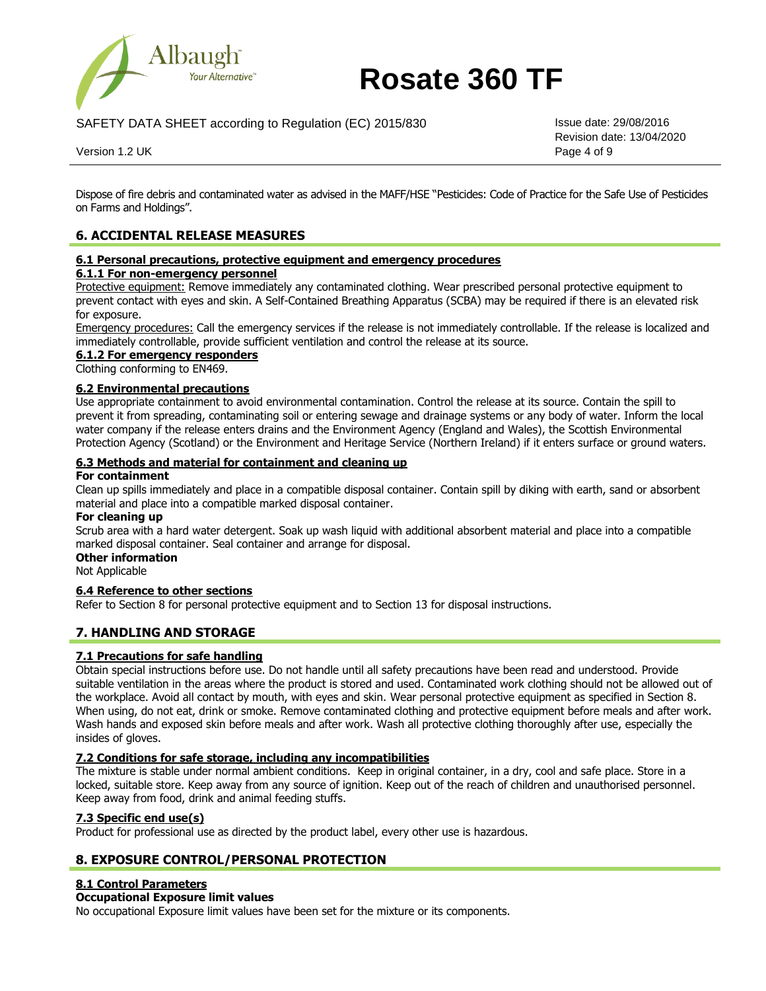

SAFETY DATA SHEET according to Regulation (EC) 2015/830 **ISSUE date:** 29/08/2016

Revision date: 13/04/2020

Version 1.2 UK Page 4 of 9

Dispose of fire debris and contaminated water as advised in the MAFF/HSE "Pesticides: Code of Practice for the Safe Use of Pesticides on Farms and Holdings".

# **6. ACCIDENTAL RELEASE MEASURES**

#### **6.1 Personal precautions, protective equipment and emergency procedures**

## **6.1.1 For non-emergency personnel**

Protective equipment: Remove immediately any contaminated clothing. Wear prescribed personal protective equipment to prevent contact with eyes and skin. A Self-Contained Breathing Apparatus (SCBA) may be required if there is an elevated risk for exposure.

Emergency procedures: Call the emergency services if the release is not immediately controllable. If the release is localized and immediately controllable, provide sufficient ventilation and control the release at its source.

## **6.1.2 For emergency responders**

Clothing conforming to EN469.

## **6.2 Environmental precautions**

Use appropriate containment to avoid environmental contamination. Control the release at its source. Contain the spill to prevent it from spreading, contaminating soil or entering sewage and drainage systems or any body of water. Inform the local water company if the release enters drains and the Environment Agency (England and Wales), the Scottish Environmental Protection Agency (Scotland) or the Environment and Heritage Service (Northern Ireland) if it enters surface or ground waters.

## **6.3 Methods and material for containment and cleaning up**

### **For containment**

Clean up spills immediately and place in a compatible disposal container. Contain spill by diking with earth, sand or absorbent material and place into a compatible marked disposal container.

### **For cleaning up**

Scrub area with a hard water detergent. Soak up wash liquid with additional absorbent material and place into a compatible marked disposal container. Seal container and arrange for disposal.

# **Other information**

Not Applicable

#### **6.4 Reference to other sections**

Refer to Section 8 for personal protective equipment and to Section 13 for disposal instructions.

# **7. HANDLING AND STORAGE**

## **7.1 Precautions for safe handling**

Obtain special instructions before use. Do not handle until all safety precautions have been read and understood. Provide suitable ventilation in the areas where the product is stored and used. Contaminated work clothing should not be allowed out of the workplace. Avoid all contact by mouth, with eyes and skin. Wear personal protective equipment as specified in Section 8. When using, do not eat, drink or smoke. Remove contaminated clothing and protective equipment before meals and after work. Wash hands and exposed skin before meals and after work. Wash all protective clothing thoroughly after use, especially the insides of gloves.

#### **7.2 Conditions for safe storage, including any incompatibilities**

The mixture is stable under normal ambient conditions. Keep in original container, in a dry, cool and safe place. Store in a locked, suitable store. Keep away from any source of ignition. Keep out of the reach of children and unauthorised personnel. Keep away from food, drink and animal feeding stuffs.

# **7.3 Specific end use(s)**

Product for professional use as directed by the product label, every other use is hazardous.

# **8. EXPOSURE CONTROL/PERSONAL PROTECTION**

#### **8.1 Control Parameters**

#### **Occupational Exposure limit values**

No occupational Exposure limit values have been set for the mixture or its components.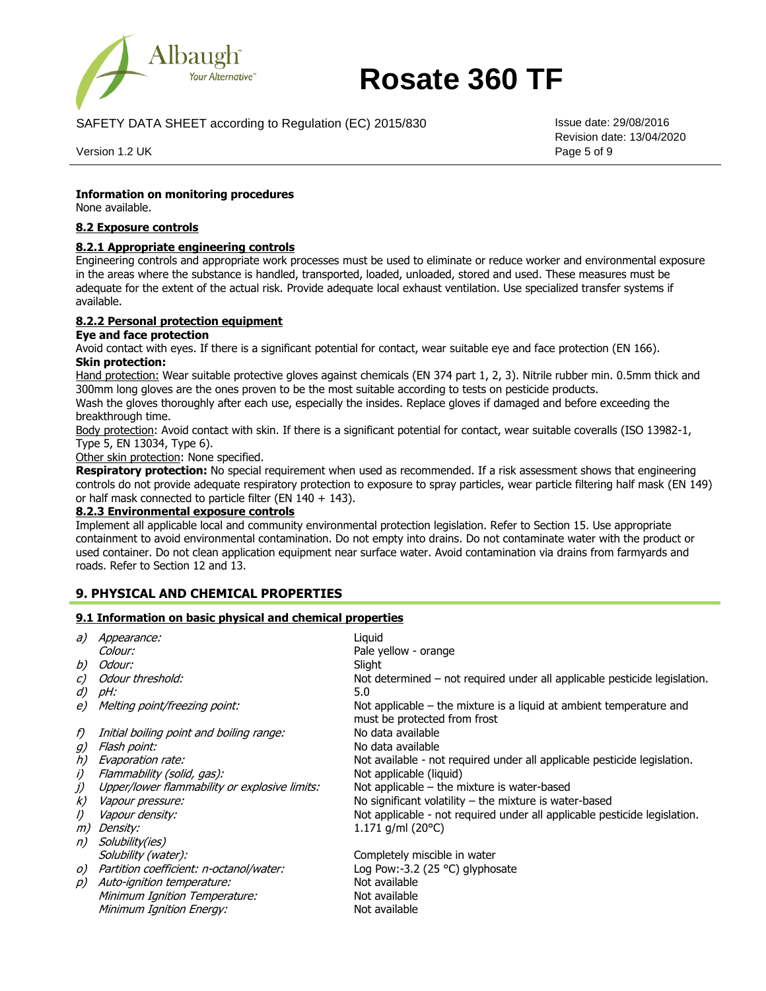

SAFETY DATA SHEET according to Regulation (EC) 2015/830 Issue date: 29/08/2016

Version 1.2 UK Page 5 of 9

Revision date: 13/04/2020

## **Information on monitoring procedures**

None available.

## **8.2 Exposure controls**

## **8.2.1 Appropriate engineering controls**

Engineering controls and appropriate work processes must be used to eliminate or reduce worker and environmental exposure in the areas where the substance is handled, transported, loaded, unloaded, stored and used. These measures must be adequate for the extent of the actual risk. Provide adequate local exhaust ventilation. Use specialized transfer systems if available.

## **8.2.2 Personal protection equipment**

## **Eye and face protection**

Avoid contact with eyes. If there is a significant potential for contact, wear suitable eye and face protection (EN 166). **Skin protection:**

Hand protection: Wear suitable protective gloves against chemicals (EN 374 part 1, 2, 3). Nitrile rubber min. 0.5mm thick and 300mm long gloves are the ones proven to be the most suitable according to tests on pesticide products.

Wash the gloves thoroughly after each use, especially the insides. Replace gloves if damaged and before exceeding the breakthrough time.

Body protection: Avoid contact with skin. If there is a significant potential for contact, wear suitable coveralls (ISO 13982-1, Type 5, EN 13034, Type 6).

Other skin protection: None specified.

**Respiratory protection:** No special requirement when used as recommended. If a risk assessment shows that engineering controls do not provide adequate respiratory protection to exposure to spray particles, wear particle filtering half mask (EN 149) or half mask connected to particle filter (EN 140 + 143).

## **8.2.3 Environmental exposure controls**

Implement all applicable local and community environmental protection legislation. Refer to Section 15. Use appropriate containment to avoid environmental contamination. Do not empty into drains. Do not contaminate water with the product or used container. Do not clean application equipment near surface water. Avoid contamination via drains from farmyards and roads. Refer to Section 12 and 13.

# **9. PHYSICAL AND CHEMICAL PROPERTIES**

## **9.1 Information on basic physical and chemical properties**

| a)            | <i>Appearance:</i>                            | Liguid                                                                                                |
|---------------|-----------------------------------------------|-------------------------------------------------------------------------------------------------------|
|               | Colour:                                       | Pale yellow - orange                                                                                  |
| b)            | Odour:                                        | Slight                                                                                                |
| $\mathcal{C}$ | Odour threshold:                              | Not determined – not required under all applicable pesticide legislation.                             |
| d)            | pH:                                           | 5.0                                                                                                   |
| e)            | Melting point/freezing point:                 | Not applicable $-$ the mixture is a liquid at ambient temperature and<br>must be protected from frost |
| f)            | Initial boiling point and boiling range:      | No data available                                                                                     |
| $g$ )         | Flash point:                                  | No data available                                                                                     |
| h)            | Evaporation rate:                             | Not available - not required under all applicable pesticide legislation.                              |
| i)            | Flammability (solid, gas):                    | Not applicable (liquid)                                                                               |
| j)            | Upper/lower flammability or explosive limits: | Not applicable $-$ the mixture is water-based                                                         |
| k)            | <i>Vapour pressure:</i>                       | No significant volatility $-$ the mixture is water-based                                              |
| $\iota$       | Vapour density:                               | Not applicable - not required under all applicable pesticide legislation.                             |
| m)            | <i>Density:</i>                               | 1.171 $q/ml$ (20 $°C$ )                                                                               |
| n)            | Solubility(ies)                               |                                                                                                       |
|               | Solubility (water):                           | Completely miscible in water                                                                          |
| O)            | Partition coefficient: n-octanol/water:       | Log Pow:-3.2 (25 °C) glyphosate                                                                       |
| p)            | Auto-ignition temperature:                    | Not available                                                                                         |
|               | Minimum Ignition Temperature:                 | Not available                                                                                         |
|               | <b>Minimum Ignition Energy:</b>               | Not available                                                                                         |
|               |                                               |                                                                                                       |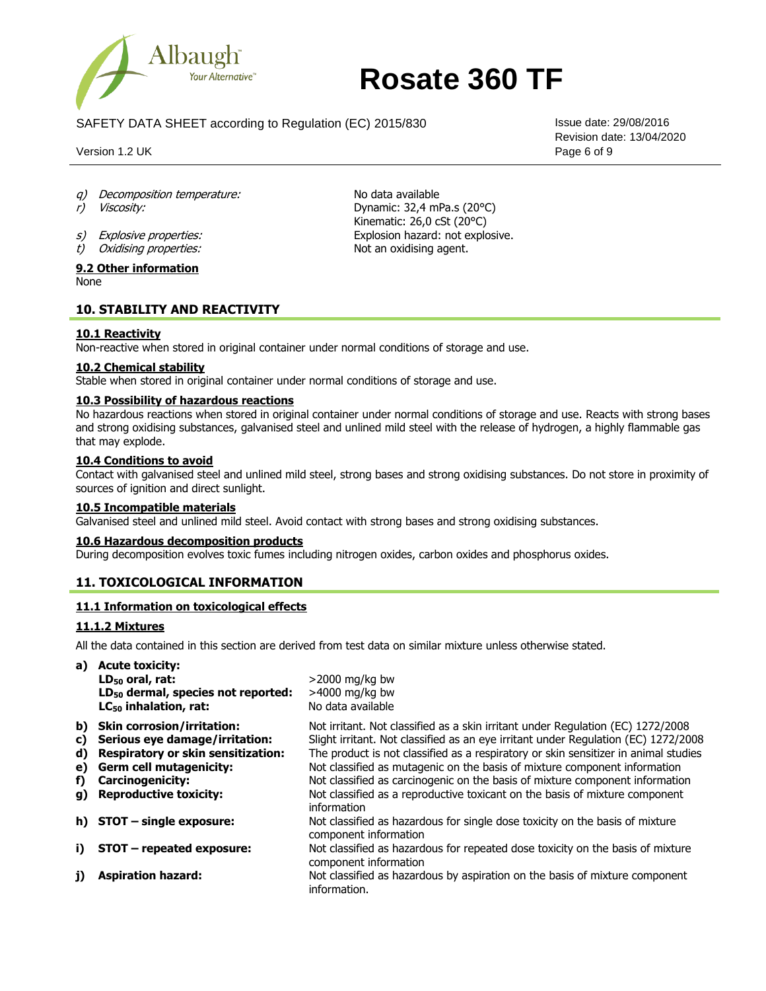

SAFETY DATA SHEET according to Regulation (EC) 2015/830 Issue date: 29/08/2016

Version 1.2 UK Page 6 of 9

Revision date: 13/04/2020

- q) Decomposition temperature: No data available
- r) Viscosity: Dynamic: 32,4 mPa.s (20°C)
- s) Explosive properties:<br>
t) Oxidising properties: Explosive and Social System Mot an oxidising agent.
- $t)$  Oxidising properties:

#### **9.2 Other information** None

# **10. STABILITY AND REACTIVITY**

# **10.1 Reactivity**

Non-reactive when stored in original container under normal conditions of storage and use.

## **10.2 Chemical stability**

Stable when stored in original container under normal conditions of storage and use.

## **10.3 Possibility of hazardous reactions**

No hazardous reactions when stored in original container under normal conditions of storage and use. Reacts with strong bases and strong oxidising substances, galvanised steel and unlined mild steel with the release of hydrogen, a highly flammable gas that may explode.

Kinematic: 26,0 cSt (20°C)

## **10.4 Conditions to avoid**

Contact with galvanised steel and unlined mild steel, strong bases and strong oxidising substances. Do not store in proximity of sources of ignition and direct sunlight.

#### **10.5 Incompatible materials**

Galvanised steel and unlined mild steel. Avoid contact with strong bases and strong oxidising substances.

#### **10.6 Hazardous decomposition products**

During decomposition evolves toxic fumes including nitrogen oxides, carbon oxides and phosphorus oxides.

# **11. TOXICOLOGICAL INFORMATION**

# **11.1 Information on toxicological effects**

## **11.1.2 Mixtures**

All the data contained in this section are derived from test data on similar mixture unless otherwise stated.

|    | a) Acute toxicity:                             |                                                                                                         |
|----|------------------------------------------------|---------------------------------------------------------------------------------------------------------|
|    | LD <sub>50</sub> oral, rat:                    | $>$ 2000 mg/kg bw                                                                                       |
|    | LD <sub>50</sub> dermal, species not reported: | $>4000$ mg/kg bw                                                                                        |
|    | $LC_{50}$ inhalation, rat:                     | No data available                                                                                       |
| b) | <b>Skin corrosion/irritation:</b>              | Not irritant. Not classified as a skin irritant under Regulation (EC) 1272/2008                         |
| C) | Serious eye damage/irritation:                 | Slight irritant. Not classified as an eye irritant under Regulation (EC) 1272/2008                      |
| d) | <b>Respiratory or skin sensitization:</b>      | The product is not classified as a respiratory or skin sensitizer in animal studies                     |
| e) | <b>Germ cell mutagenicity:</b>                 | Not classified as mutagenic on the basis of mixture component information                               |
| f) | <b>Carcinogenicity:</b>                        | Not classified as carcinogenic on the basis of mixture component information                            |
| g) | <b>Reproductive toxicity:</b>                  | Not classified as a reproductive toxicant on the basis of mixture component<br>information              |
|    | h) $STOT$ – single exposure:                   | Not classified as hazardous for single dose toxicity on the basis of mixture<br>component information   |
| i) | STOT - repeated exposure:                      | Not classified as hazardous for repeated dose toxicity on the basis of mixture<br>component information |
| j) | <b>Aspiration hazard:</b>                      | Not classified as hazardous by aspiration on the basis of mixture component<br>information.             |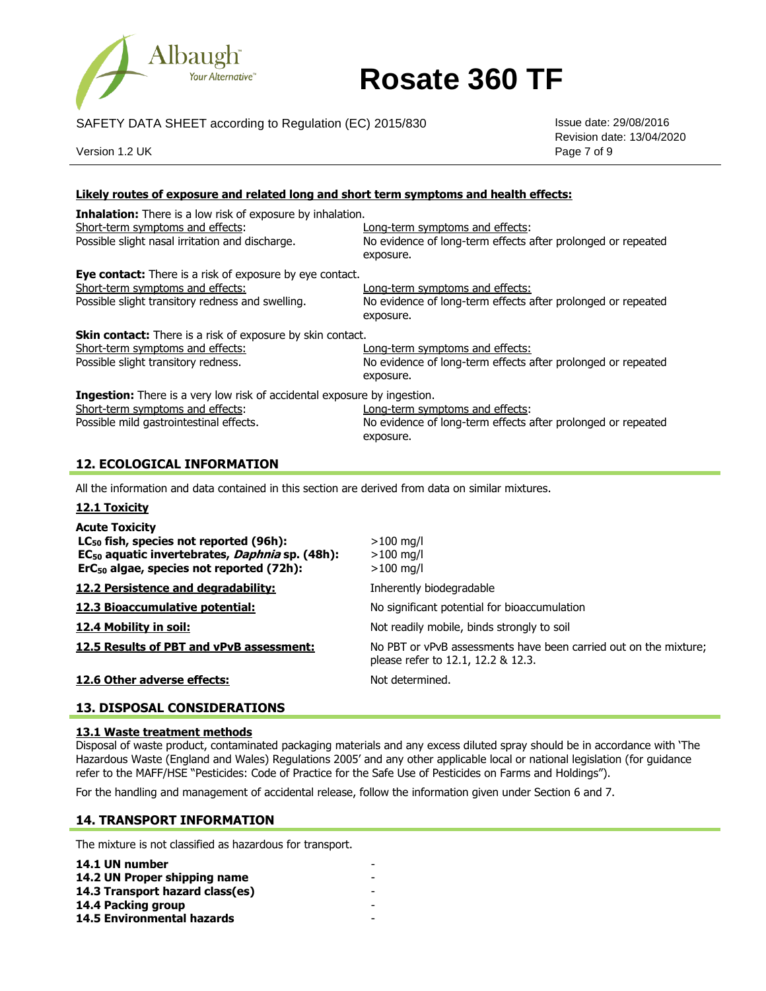

SAFETY DATA SHEET according to Regulation (EC) 2015/830 Issue date: 29/08/2016

Version 1.2 UK Page 7 of 9

Revision date: 13/04/2020

# **Likely routes of exposure and related long and short term symptoms and health effects:**

| <b>Inhalation:</b> There is a low risk of exposure by inhalation.<br>Short-term symptoms and effects:<br>Possible slight nasal irritation and discharge.                                                 | Long-term symptoms and effects:<br>No evidence of long-term effects after prolonged or repeated<br>exposure. |
|----------------------------------------------------------------------------------------------------------------------------------------------------------------------------------------------------------|--------------------------------------------------------------------------------------------------------------|
| Eye contact: There is a risk of exposure by eye contact.<br>Short-term symptoms and effects:<br>Possible slight transitory redness and swelling.                                                         | Long-term symptoms and effects:<br>No evidence of long-term effects after prolonged or repeated<br>exposure. |
| Skin contact: There is a risk of exposure by skin contact.<br>Short-term symptoms and effects:<br>Possible slight transitory redness.                                                                    | Long-term symptoms and effects:<br>No evidence of long-term effects after prolonged or repeated<br>exposure. |
| <b>Ingestion:</b> There is a very low risk of accidental exposure by ingestion.<br>Short-term symptoms and effects:<br>Possible mild gastrointestinal effects.                                           | Long-term symptoms and effects:<br>No evidence of long-term effects after prolonged or repeated<br>exposure. |
|                                                                                                                                                                                                          |                                                                                                              |
| <b>12. ECOLOGICAL INFORMATION</b>                                                                                                                                                                        |                                                                                                              |
| All the information and data contained in this section are derived from data on similar mixtures.                                                                                                        |                                                                                                              |
| 12.1 Toxicity                                                                                                                                                                                            |                                                                                                              |
| <b>Acute Toxicity</b><br>LC <sub>50</sub> fish, species not reported (96h):<br>EC <sub>50</sub> aquatic invertebrates, <i>Daphnia</i> sp. (48h):<br>ErC <sub>50</sub> algae, species not reported (72h): | $>100$ mg/l<br>$>100$ mg/l<br>$>100$ mg/l                                                                    |
| 12.2 Persistence and degradability:                                                                                                                                                                      | Inherently biodegradable                                                                                     |
| 12.3 Bioaccumulative potential:                                                                                                                                                                          | No significant potential for bioaccumulation                                                                 |
| 12.4 Mobility in soil:                                                                                                                                                                                   | Not readily mobile, binds strongly to soil                                                                   |
| 12.5 Results of PBT and vPvB assessment:                                                                                                                                                                 | No PBT or vPvB assessments have been carried out on the mixture;<br>please refer to 12.1, 12.2 & 12.3.       |

## **13. DISPOSAL CONSIDERATIONS**

#### **13.1 Waste treatment methods**

Disposal of waste product, contaminated packaging materials and any excess diluted spray should be in accordance with 'The Hazardous Waste (England and Wales) Regulations 2005' and any other applicable local or national legislation (for guidance refer to the MAFF/HSE "Pesticides: Code of Practice for the Safe Use of Pesticides on Farms and Holdings").

For the handling and management of accidental release, follow the information given under Section 6 and 7.

# **14. TRANSPORT INFORMATION**

The mixture is not classified as hazardous for transport.

| 14.1 UN number                    |  |
|-----------------------------------|--|
| 14.2 UN Proper shipping name      |  |
| 14.3 Transport hazard class(es)   |  |
| 14.4 Packing group                |  |
| <b>14.5 Environmental hazards</b> |  |
|                                   |  |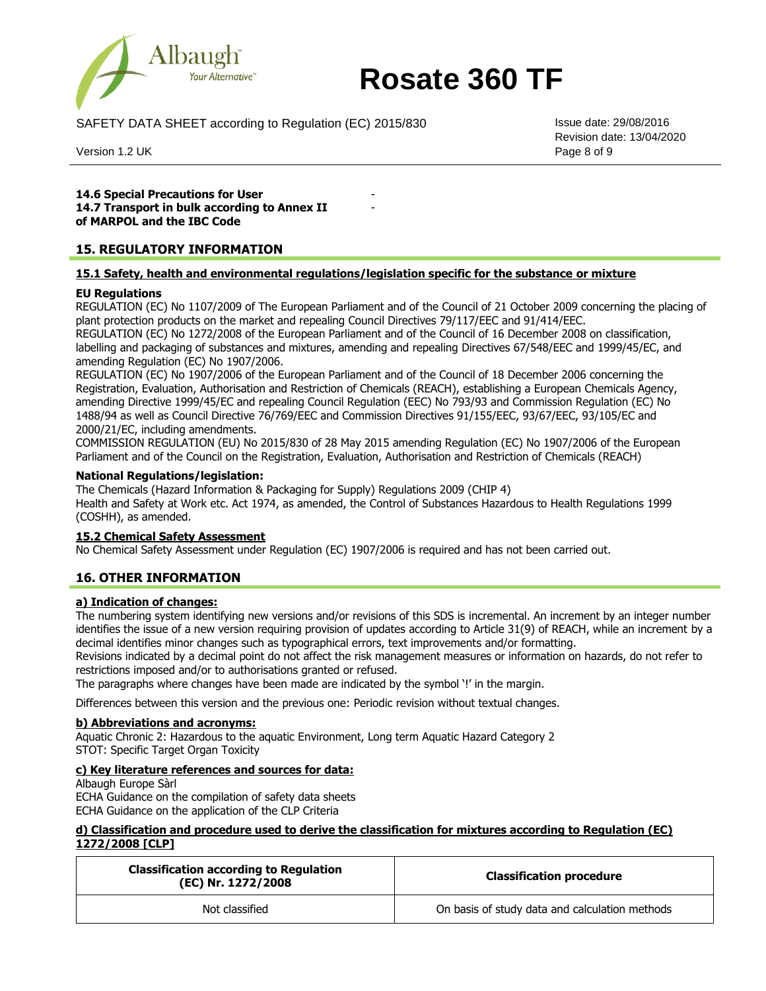

SAFETY DATA SHEET according to Regulation (EC) 2015/830 **ISSUE date:** 29/08/2016

Version 1.2 UK Page 8 of 9

Revision date: 13/04/2020

**14.6 Special Precautions for User 14.7 Transport in bulk according to Annex II of MARPOL and the IBC Code**

# **15. REGULATORY INFORMATION**

## **15.1 Safety, health and environmental regulations/legislation specific for the substance or mixture**

-

## **EU Regulations**

REGULATION (EC) No 1107/2009 of The European Parliament and of the Council of 21 October 2009 concerning the placing of plant protection products on the market and repealing Council Directives 79/117/EEC and 91/414/EEC.

REGULATION (EC) No 1272/2008 of the European Parliament and of the Council of 16 December 2008 on classification, labelling and packaging of substances and mixtures, amending and repealing Directives 67/548/EEC and 1999/45/EC, and amending Regulation (EC) No 1907/2006.

REGULATION (EC) No 1907/2006 of the European Parliament and of the Council of 18 December 2006 concerning the Registration, Evaluation, Authorisation and Restriction of Chemicals (REACH), establishing a European Chemicals Agency, amending Directive 1999/45/EC and repealing Council Regulation (EEC) No 793/93 and Commission Regulation (EC) No 1488/94 as well as Council Directive 76/769/EEC and Commission Directives 91/155/EEC, 93/67/EEC, 93/105/EC and 2000/21/EC, including amendments.

COMMISSION REGULATION (EU) No 2015/830 of 28 May 2015 amending Regulation (EC) No 1907/2006 of the European Parliament and of the Council on the Registration, Evaluation, Authorisation and Restriction of Chemicals (REACH)

#### **National Regulations/legislation:**

The Chemicals (Hazard Information & Packaging for Supply) Regulations 2009 (CHIP 4) Health and Safety at Work etc. Act 1974, as amended, the Control of Substances Hazardous to Health Regulations 1999 (COSHH), as amended.

#### **15.2 Chemical Safety Assessment**

No Chemical Safety Assessment under Regulation (EC) 1907/2006 is required and has not been carried out.

## **16. OTHER INFORMATION**

#### **a) Indication of changes:**

The numbering system identifying new versions and/or revisions of this SDS is incremental. An increment by an integer number identifies the issue of a new version requiring provision of updates according to Article 31(9) of REACH, while an increment by a decimal identifies minor changes such as typographical errors, text improvements and/or formatting.

Revisions indicated by a decimal point do not affect the risk management measures or information on hazards, do not refer to restrictions imposed and/or to authorisations granted or refused.

The paragraphs where changes have been made are indicated by the symbol '!' in the margin.

Differences between this version and the previous one: Periodic revision without textual changes.

#### **b) Abbreviations and acronyms:**

Aquatic Chronic 2: Hazardous to the aquatic Environment, Long term Aquatic Hazard Category 2 STOT: Specific Target Organ Toxicity

## **c) Key literature references and sources for data:**

Albaugh Europe Sàrl ECHA Guidance on the compilation of safety data sheets ECHA Guidance on the application of the CLP Criteria

## **d) Classification and procedure used to derive the classification for mixtures according to Regulation (EC) 1272/2008 [CLP]**

| <b>Classification according to Regulation</b><br>(EC) Nr. 1272/2008 | <b>Classification procedure</b>                |
|---------------------------------------------------------------------|------------------------------------------------|
| Not classified                                                      | On basis of study data and calculation methods |